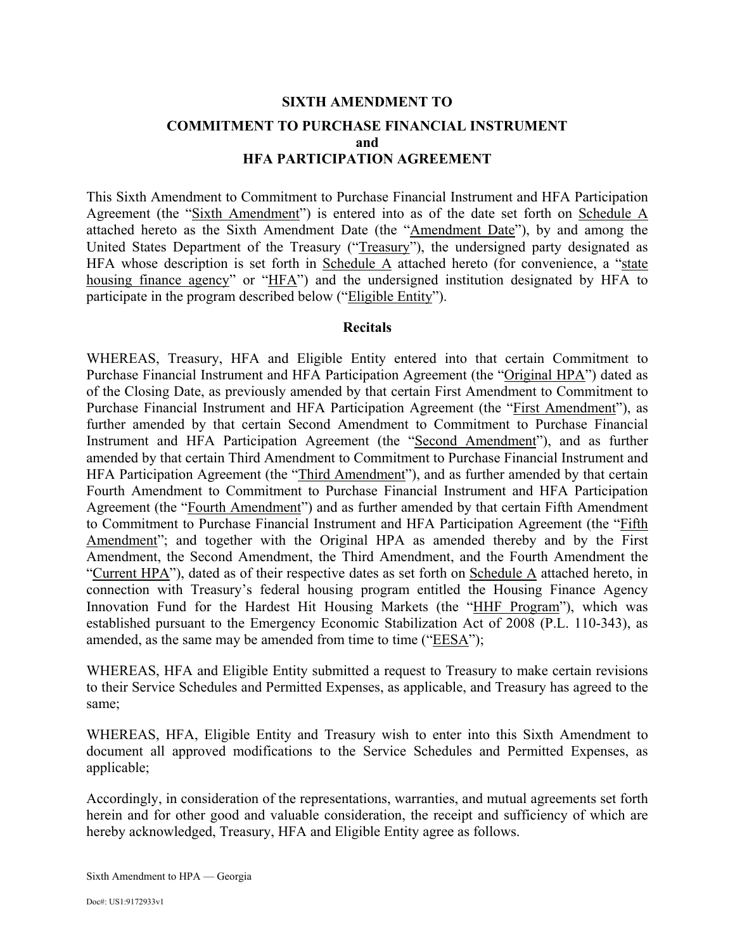# **SIXTH AMENDMENT TO COMMITMENT TO PURCHASE FINANCIAL INSTRUMENT and HFA PARTICIPATION AGREEMENT**

This Sixth Amendment to Commitment to Purchase Financial Instrument and HFA Participation Agreement (the "Sixth Amendment") is entered into as of the date set forth on Schedule A attached hereto as the Sixth Amendment Date (the "Amendment Date"), by and among the United States Department of the Treasury ("Treasury"), the undersigned party designated as HFA whose description is set forth in Schedule  $\overline{A}$  attached hereto (for convenience, a "state housing finance agency" or "HFA") and the undersigned institution designated by HFA to participate in the program described below ("Eligible Entity").

#### **Recitals**

WHEREAS, Treasury, HFA and Eligible Entity entered into that certain Commitment to Purchase Financial Instrument and HFA Participation Agreement (the "Original HPA") dated as of the Closing Date, as previously amended by that certain First Amendment to Commitment to Purchase Financial Instrument and HFA Participation Agreement (the "First Amendment"), as further amended by that certain Second Amendment to Commitment to Purchase Financial Instrument and HFA Participation Agreement (the "Second Amendment"), and as further amended by that certain Third Amendment to Commitment to Purchase Financial Instrument and HFA Participation Agreement (the "Third Amendment"), and as further amended by that certain Fourth Amendment to Commitment to Purchase Financial Instrument and HFA Participation Agreement (the "Fourth Amendment") and as further amended by that certain Fifth Amendment to Commitment to Purchase Financial Instrument and HFA Participation Agreement (the "Fifth Amendment"; and together with the Original HPA as amended thereby and by the First Amendment, the Second Amendment, the Third Amendment, and the Fourth Amendment the "Current HPA"), dated as of their respective dates as set forth on Schedule A attached hereto, in connection with Treasury's federal housing program entitled the Housing Finance Agency Innovation Fund for the Hardest Hit Housing Markets (the "HHF Program"), which was established pursuant to the Emergency Economic Stabilization Act of 2008 (P.L. 110-343), as amended, as the same may be amended from time to time ("EESA");

WHEREAS, HFA and Eligible Entity submitted a request to Treasury to make certain revisions to their Service Schedules and Permitted Expenses, as applicable, and Treasury has agreed to the same;

WHEREAS, HFA, Eligible Entity and Treasury wish to enter into this Sixth Amendment to document all approved modifications to the Service Schedules and Permitted Expenses, as applicable;

Accordingly, in consideration of the representations, warranties, and mutual agreements set forth herein and for other good and valuable consideration, the receipt and sufficiency of which are hereby acknowledged, Treasury, HFA and Eligible Entity agree as follows.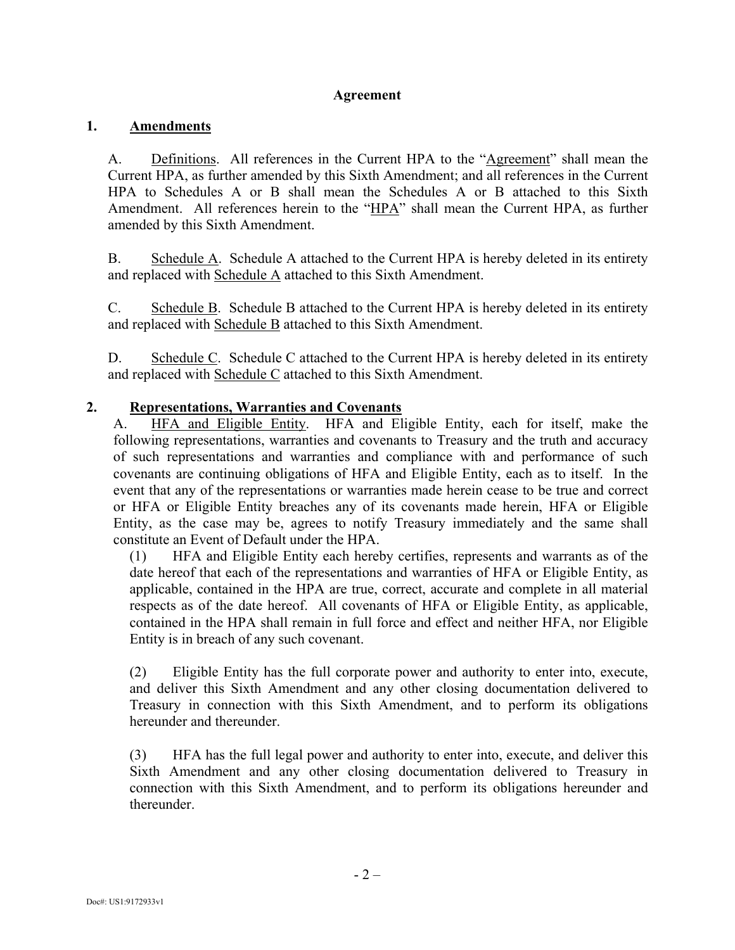#### **Agreement**

#### **1. Amendments**

A. Definitions. All references in the Current HPA to the "Agreement" shall mean the Current HPA, as further amended by this Sixth Amendment; and all references in the Current HPA to Schedules A or B shall mean the Schedules A or B attached to this Sixth Amendment. All references herein to the "HPA" shall mean the Current HPA, as further amended by this Sixth Amendment.

B. Schedule A. Schedule A attached to the Current HPA is hereby deleted in its entirety and replaced with Schedule A attached to this Sixth Amendment.

C. Schedule  $\overline{B}$ . Schedule B attached to the Current HPA is hereby deleted in its entirety and replaced with Schedule B attached to this Sixth Amendment.

D. Schedule C. Schedule C attached to the Current HPA is hereby deleted in its entirety and replaced with Schedule C attached to this Sixth Amendment.

#### **2. Representations, Warranties and Covenants**

A. HFA and Eligible Entity. HFA and Eligible Entity, each for itself, make the following representations, warranties and covenants to Treasury and the truth and accuracy of such representations and warranties and compliance with and performance of such covenants are continuing obligations of HFA and Eligible Entity, each as to itself. In the event that any of the representations or warranties made herein cease to be true and correct or HFA or Eligible Entity breaches any of its covenants made herein, HFA or Eligible Entity, as the case may be, agrees to notify Treasury immediately and the same shall constitute an Event of Default under the HPA.

(1) HFA and Eligible Entity each hereby certifies, represents and warrants as of the date hereof that each of the representations and warranties of HFA or Eligible Entity, as applicable, contained in the HPA are true, correct, accurate and complete in all material respects as of the date hereof. All covenants of HFA or Eligible Entity, as applicable, contained in the HPA shall remain in full force and effect and neither HFA, nor Eligible Entity is in breach of any such covenant.

(2) Eligible Entity has the full corporate power and authority to enter into, execute, and deliver this Sixth Amendment and any other closing documentation delivered to Treasury in connection with this Sixth Amendment, and to perform its obligations hereunder and thereunder.

(3) HFA has the full legal power and authority to enter into, execute, and deliver this Sixth Amendment and any other closing documentation delivered to Treasury in connection with this Sixth Amendment, and to perform its obligations hereunder and thereunder.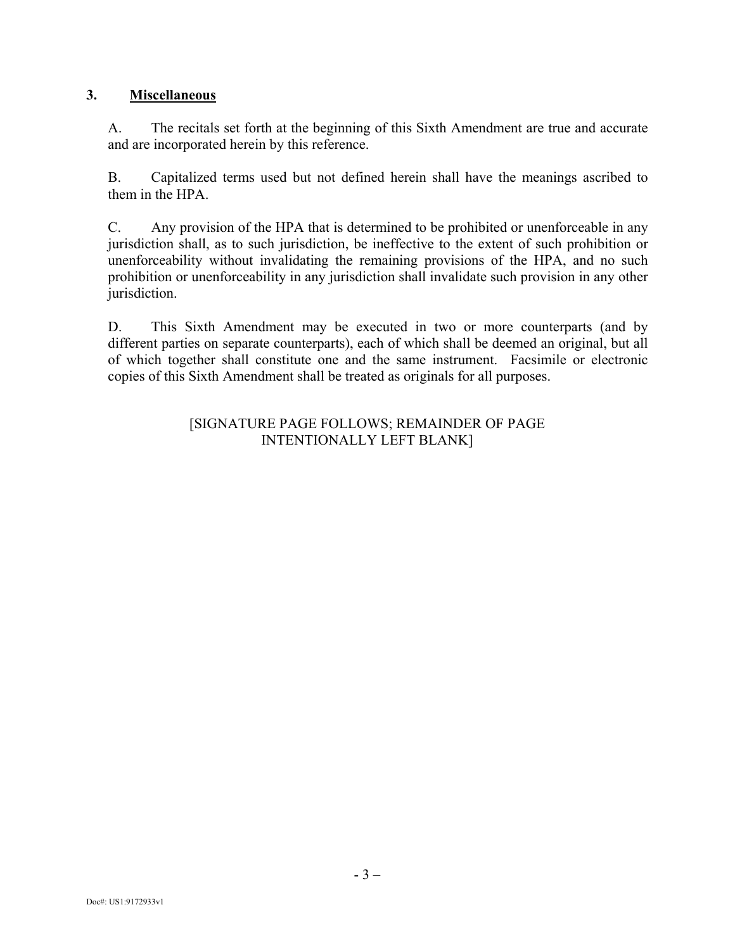## **3. Miscellaneous**

A. The recitals set forth at the beginning of this Sixth Amendment are true and accurate and are incorporated herein by this reference.

B. Capitalized terms used but not defined herein shall have the meanings ascribed to them in the HPA.

C. Any provision of the HPA that is determined to be prohibited or unenforceable in any jurisdiction shall, as to such jurisdiction, be ineffective to the extent of such prohibition or unenforceability without invalidating the remaining provisions of the HPA, and no such prohibition or unenforceability in any jurisdiction shall invalidate such provision in any other jurisdiction.

D. This Sixth Amendment may be executed in two or more counterparts (and by different parties on separate counterparts), each of which shall be deemed an original, but all of which together shall constitute one and the same instrument. Facsimile or electronic copies of this Sixth Amendment shall be treated as originals for all purposes.

#### [SIGNATURE PAGE FOLLOWS; REMAINDER OF PAGE INTENTIONALLY LEFT BLANK]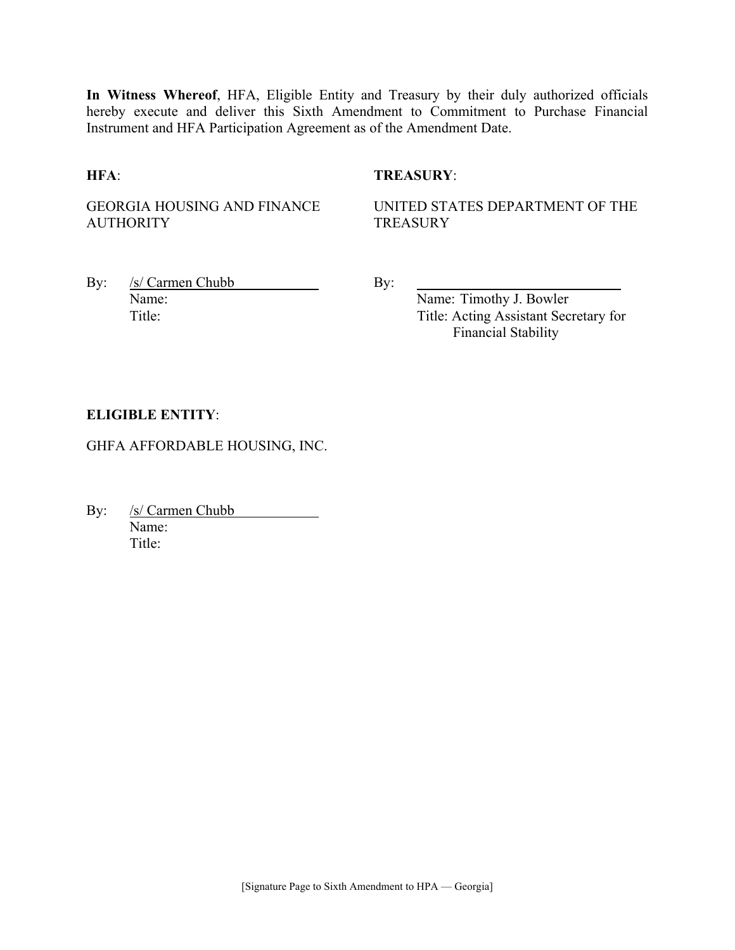**In Witness Whereof**, HFA, Eligible Entity and Treasury by their duly authorized officials hereby execute and deliver this Sixth Amendment to Commitment to Purchase Financial Instrument and HFA Participation Agreement as of the Amendment Date.

#### **HFA**: **TREASURY**:

GEORGIA HOUSING AND FINANCE **AUTHORITY** 

UNITED STATES DEPARTMENT OF THE **TREASURY** 

By: /s/ Carmen Chubb By: Name: Name: Timothy J. Bowler

Title: Title: Acting Assistant Secretary for Financial Stability

#### **ELIGIBLE ENTITY**:

GHFA AFFORDABLE HOUSING, INC.

By: <u>/s/ Carmen Chubb</u> Name: Title<sup>.</sup>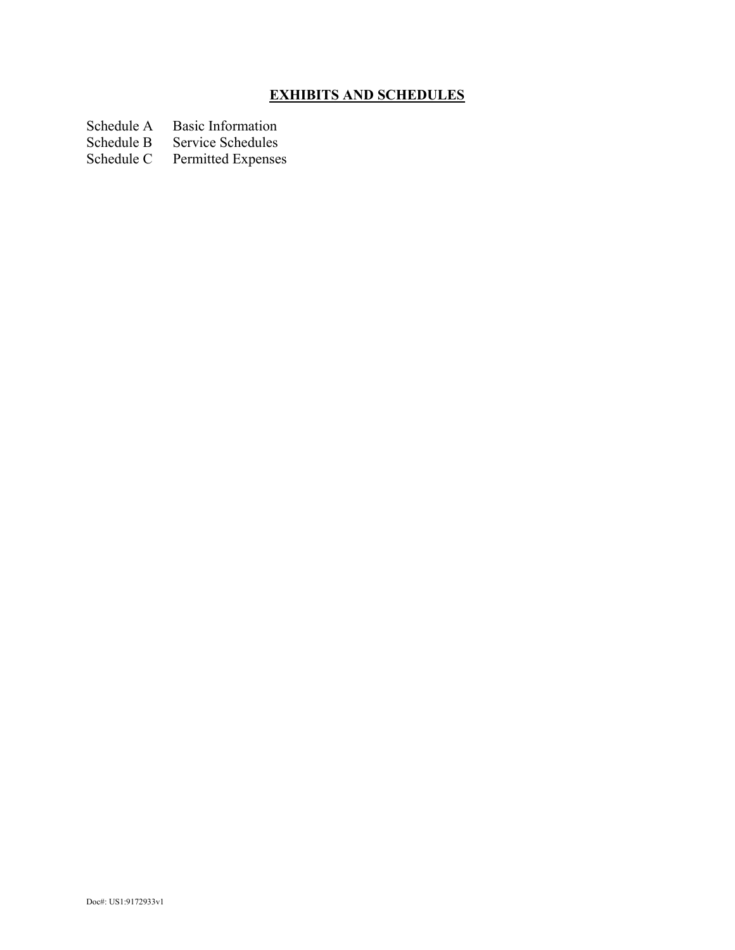# **EXHIBITS AND SCHEDULES**

- Schedule A Basic Information<br>Schedule B Service Schedules
- Schedule B Service Schedules<br>Schedule C Permitted Expenses
- Permitted Expenses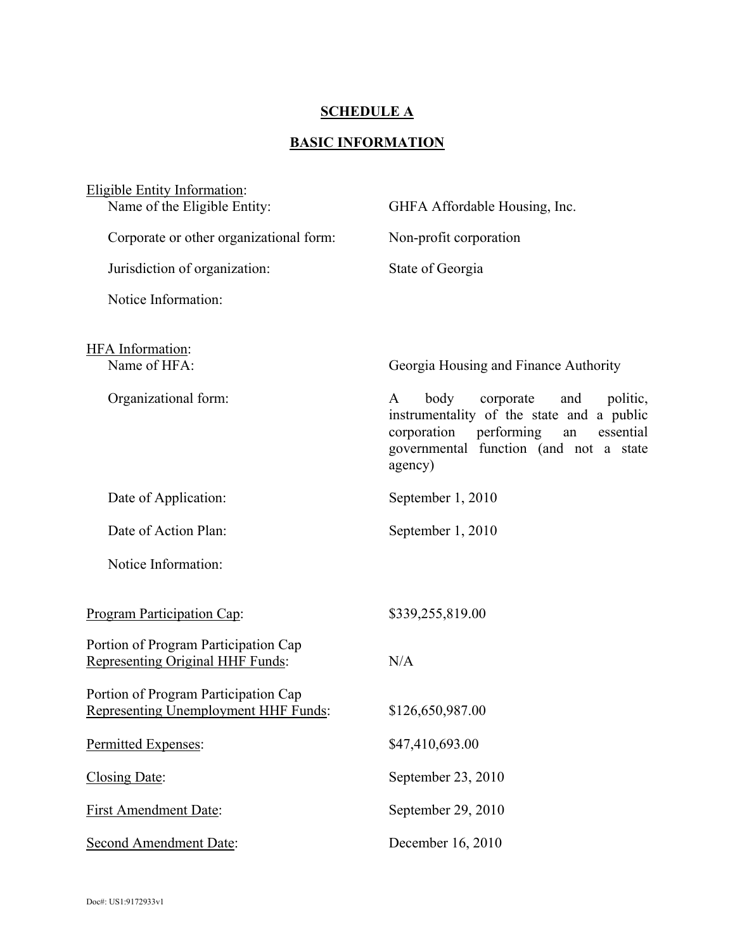## **SCHEDULE A**

# **BASIC INFORMATION**

| Eligible Entity Information:<br>Name of the Eligible Entity:                 | GHFA Affordable Housing, Inc.                                                                                                                                                            |
|------------------------------------------------------------------------------|------------------------------------------------------------------------------------------------------------------------------------------------------------------------------------------|
| Corporate or other organizational form:                                      | Non-profit corporation                                                                                                                                                                   |
| Jurisdiction of organization:                                                | State of Georgia                                                                                                                                                                         |
| Notice Information:                                                          |                                                                                                                                                                                          |
| <b>HFA</b> Information:<br>Name of HFA:                                      | Georgia Housing and Finance Authority                                                                                                                                                    |
| Organizational form:                                                         | body<br>A<br>corporate<br>and<br>politic,<br>instrumentality of the state and a public<br>corporation performing<br>essential<br>an<br>governmental function (and not a state<br>agency) |
| Date of Application:                                                         | September 1, 2010                                                                                                                                                                        |
| Date of Action Plan:                                                         | September 1, 2010                                                                                                                                                                        |
| Notice Information:                                                          |                                                                                                                                                                                          |
| Program Participation Cap:                                                   | \$339,255,819.00                                                                                                                                                                         |
| Portion of Program Participation Cap<br>Representing Original HHF Funds:     | N/A                                                                                                                                                                                      |
| Portion of Program Participation Cap<br>Representing Unemployment HHF Funds: | \$126,650,987.00                                                                                                                                                                         |
| Permitted Expenses:                                                          | \$47,410,693.00                                                                                                                                                                          |
| Closing Date:                                                                | September 23, 2010                                                                                                                                                                       |
| <b>First Amendment Date:</b>                                                 | September 29, 2010                                                                                                                                                                       |
| <b>Second Amendment Date:</b>                                                | December 16, 2010                                                                                                                                                                        |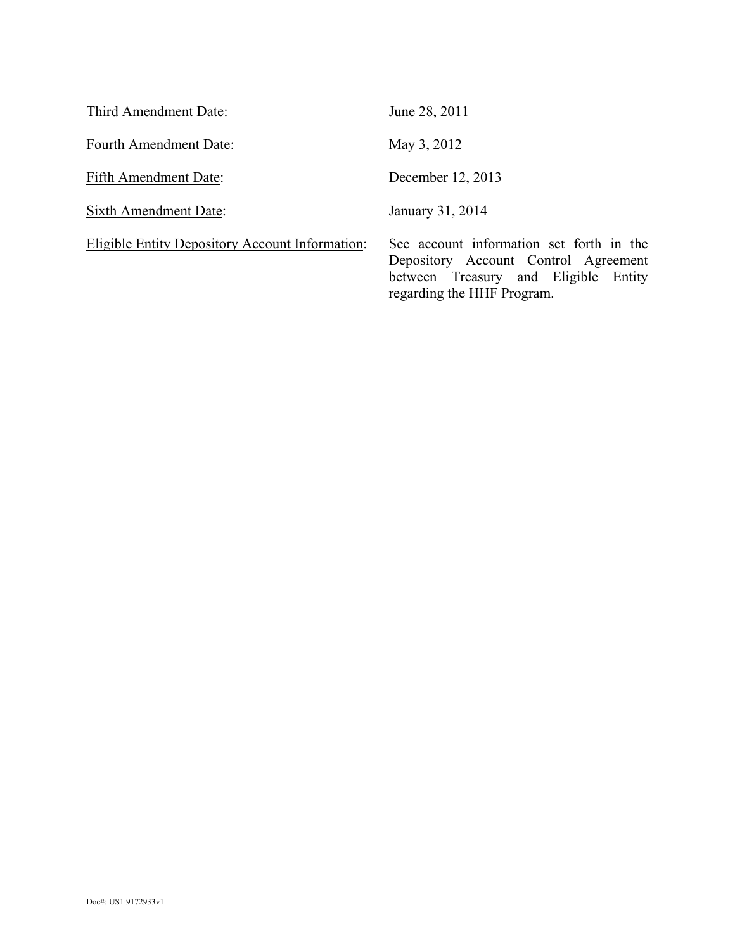| Third Amendment Date:                                  | June 28, 2011                                                                                                                                          |
|--------------------------------------------------------|--------------------------------------------------------------------------------------------------------------------------------------------------------|
| Fourth Amendment Date:                                 | May 3, 2012                                                                                                                                            |
| Fifth Amendment Date:                                  | December 12, 2013                                                                                                                                      |
| <b>Sixth Amendment Date:</b>                           | January 31, 2014                                                                                                                                       |
| <b>Eligible Entity Depository Account Information:</b> | See account information set forth in the<br>Depository Account Control Agreement<br>between Treasury and Eligible Entity<br>regarding the HHF Program. |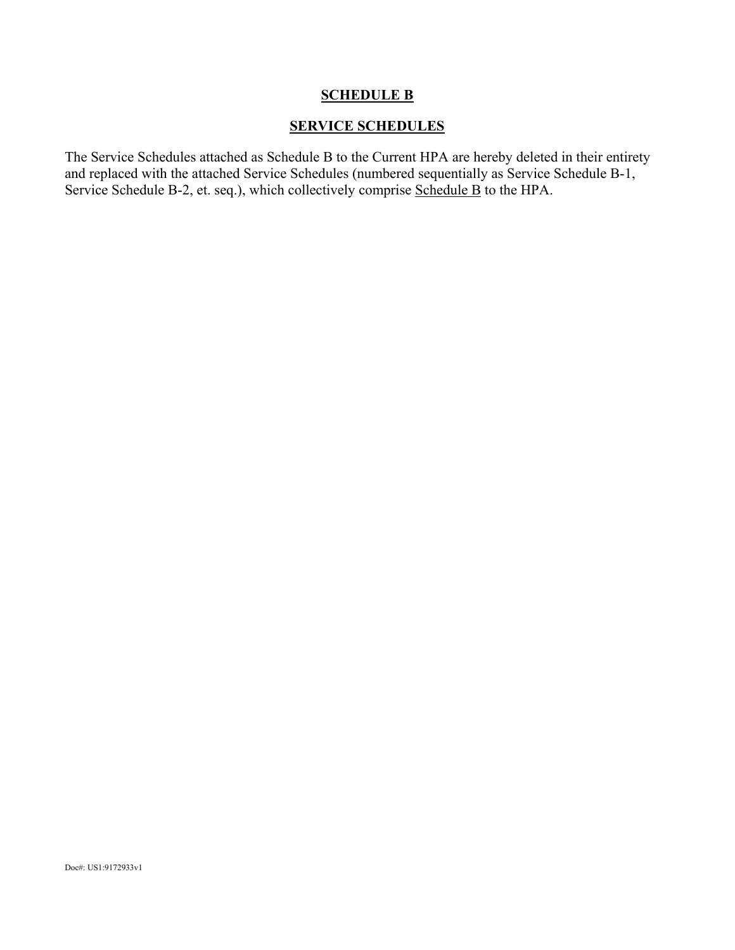#### **SCHEDULE B**

#### **SERVICE SCHEDULES**

The Service Schedules attached as Schedule B to the Current HPA are hereby deleted in their entirety and replaced with the attached Service Schedules (numbered sequentially as Service Schedule B-1, Service Schedule B-2, et. seq.), which collectively comprise Schedule B to the HPA.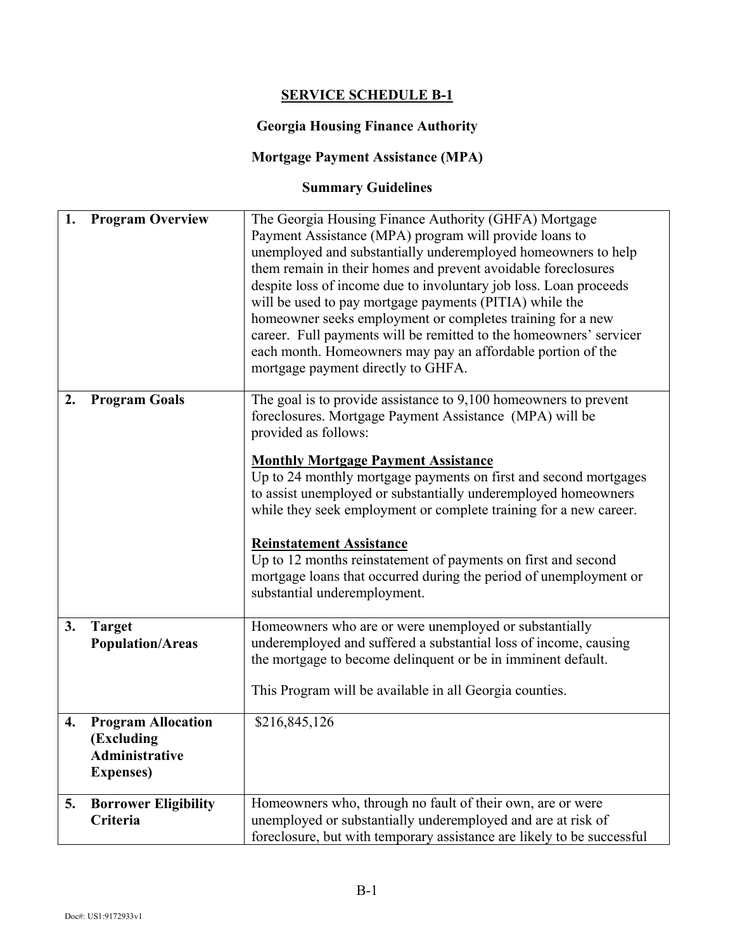## **SERVICE SCHEDULE B-1**

### **Georgia Housing Finance Authority**

# **Mortgage Payment Assistance (MPA)**

# **Summary Guidelines**

| 1. | <b>Program Overview</b>                                                               | The Georgia Housing Finance Authority (GHFA) Mortgage<br>Payment Assistance (MPA) program will provide loans to<br>unemployed and substantially underemployed homeowners to help<br>them remain in their homes and prevent avoidable foreclosures<br>despite loss of income due to involuntary job loss. Loan proceeds<br>will be used to pay mortgage payments (PITIA) while the<br>homeowner seeks employment or completes training for a new<br>career. Full payments will be remitted to the homeowners' servicer<br>each month. Homeowners may pay an affordable portion of the<br>mortgage payment directly to GHFA. |
|----|---------------------------------------------------------------------------------------|----------------------------------------------------------------------------------------------------------------------------------------------------------------------------------------------------------------------------------------------------------------------------------------------------------------------------------------------------------------------------------------------------------------------------------------------------------------------------------------------------------------------------------------------------------------------------------------------------------------------------|
| 2. | <b>Program Goals</b>                                                                  | The goal is to provide assistance to 9,100 homeowners to prevent<br>foreclosures. Mortgage Payment Assistance (MPA) will be<br>provided as follows:<br><b>Monthly Mortgage Payment Assistance</b><br>Up to 24 monthly mortgage payments on first and second mortgages<br>to assist unemployed or substantially underemployed homeowners<br>while they seek employment or complete training for a new career.                                                                                                                                                                                                               |
|    |                                                                                       | <b>Reinstatement Assistance</b><br>Up to 12 months reinstatement of payments on first and second<br>mortgage loans that occurred during the period of unemployment or<br>substantial underemployment.                                                                                                                                                                                                                                                                                                                                                                                                                      |
| 3. | <b>Target</b><br><b>Population/Areas</b>                                              | Homeowners who are or were unemployed or substantially<br>underemployed and suffered a substantial loss of income, causing<br>the mortgage to become delinquent or be in imminent default.<br>This Program will be available in all Georgia counties.                                                                                                                                                                                                                                                                                                                                                                      |
| 4. | <b>Program Allocation</b><br>(Excluding<br><b>Administrative</b><br><b>Expenses</b> ) | \$216,845,126                                                                                                                                                                                                                                                                                                                                                                                                                                                                                                                                                                                                              |
| 5. | <b>Borrower Eligibility</b><br>Criteria                                               | Homeowners who, through no fault of their own, are or were<br>unemployed or substantially underemployed and are at risk of<br>foreclosure, but with temporary assistance are likely to be successful                                                                                                                                                                                                                                                                                                                                                                                                                       |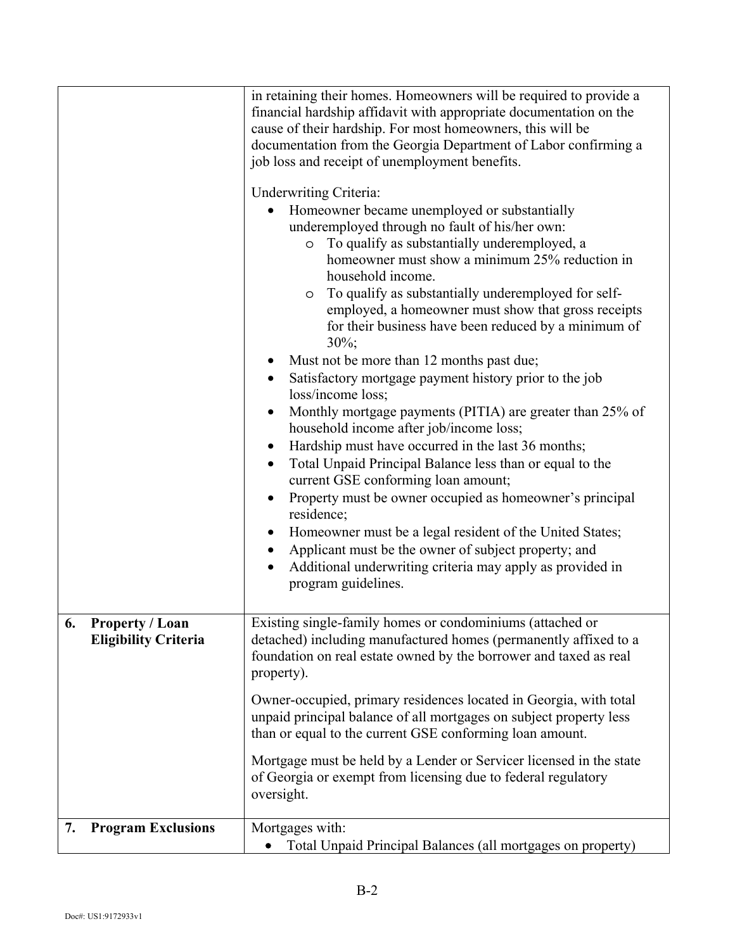|                                                             | in retaining their homes. Homeowners will be required to provide a<br>financial hardship affidavit with appropriate documentation on the<br>cause of their hardship. For most homeowners, this will be<br>documentation from the Georgia Department of Labor confirming a<br>job loss and receipt of unemployment benefits.<br><b>Underwriting Criteria:</b><br>Homeowner became unemployed or substantially<br>underemployed through no fault of his/her own:<br>To qualify as substantially underemployed, a<br>$\circ$<br>homeowner must show a minimum 25% reduction in<br>household income.<br>To qualify as substantially underemployed for self-<br>O<br>employed, a homeowner must show that gross receipts<br>for their business have been reduced by a minimum of<br>$30\%$ ;<br>Must not be more than 12 months past due;<br>Satisfactory mortgage payment history prior to the job<br>loss/income loss;<br>Monthly mortgage payments (PITIA) are greater than 25% of<br>household income after job/income loss;<br>Hardship must have occurred in the last 36 months;<br>Total Unpaid Principal Balance less than or equal to the<br>current GSE conforming loan amount;<br>Property must be owner occupied as homeowner's principal<br>residence;<br>Homeowner must be a legal resident of the United States;<br>Applicant must be the owner of subject property; and<br>Additional underwriting criteria may apply as provided in<br>program guidelines. |
|-------------------------------------------------------------|------------------------------------------------------------------------------------------------------------------------------------------------------------------------------------------------------------------------------------------------------------------------------------------------------------------------------------------------------------------------------------------------------------------------------------------------------------------------------------------------------------------------------------------------------------------------------------------------------------------------------------------------------------------------------------------------------------------------------------------------------------------------------------------------------------------------------------------------------------------------------------------------------------------------------------------------------------------------------------------------------------------------------------------------------------------------------------------------------------------------------------------------------------------------------------------------------------------------------------------------------------------------------------------------------------------------------------------------------------------------------------------------------------------------------------------------------------------------|
| <b>Property / Loan</b><br>6.<br><b>Eligibility Criteria</b> | Existing single-family homes or condominiums (attached or<br>detached) including manufactured homes (permanently affixed to a<br>foundation on real estate owned by the borrower and taxed as real<br>property).<br>Owner-occupied, primary residences located in Georgia, with total<br>unpaid principal balance of all mortgages on subject property less<br>than or equal to the current GSE conforming loan amount.<br>Mortgage must be held by a Lender or Servicer licensed in the state<br>of Georgia or exempt from licensing due to federal regulatory<br>oversight.                                                                                                                                                                                                                                                                                                                                                                                                                                                                                                                                                                                                                                                                                                                                                                                                                                                                                          |
| <b>Program Exclusions</b><br>7.                             | Mortgages with:<br>Total Unpaid Principal Balances (all mortgages on property)                                                                                                                                                                                                                                                                                                                                                                                                                                                                                                                                                                                                                                                                                                                                                                                                                                                                                                                                                                                                                                                                                                                                                                                                                                                                                                                                                                                         |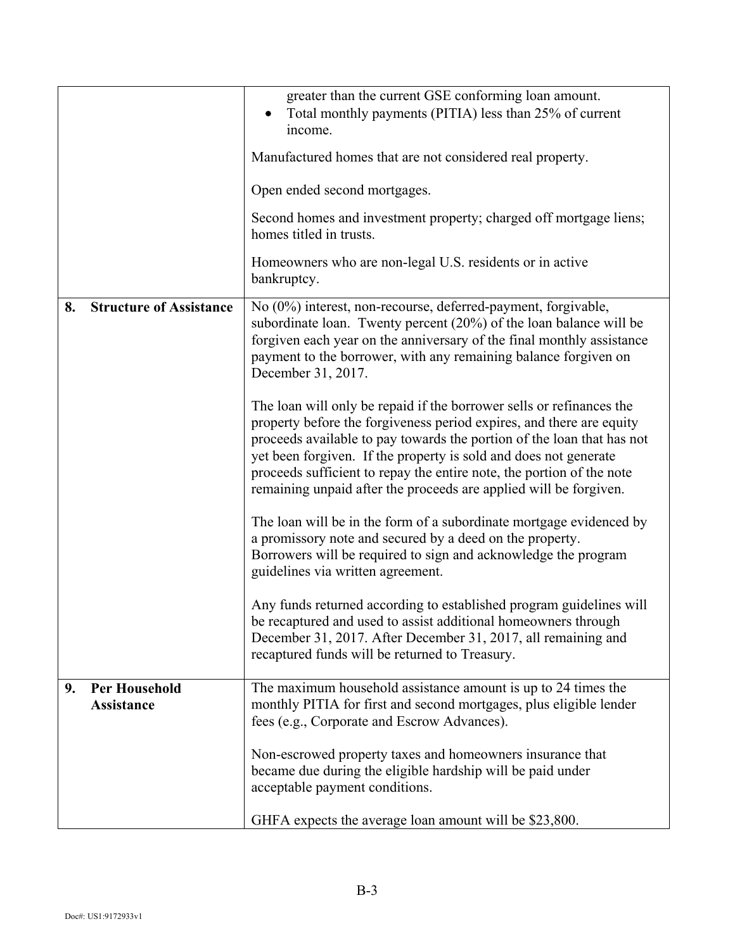|    |                                           | greater than the current GSE conforming loan amount.<br>Total monthly payments (PITIA) less than 25% of current                                                                                                                                                                                                                                                                                                                          |
|----|-------------------------------------------|------------------------------------------------------------------------------------------------------------------------------------------------------------------------------------------------------------------------------------------------------------------------------------------------------------------------------------------------------------------------------------------------------------------------------------------|
|    |                                           | income.                                                                                                                                                                                                                                                                                                                                                                                                                                  |
|    |                                           | Manufactured homes that are not considered real property.                                                                                                                                                                                                                                                                                                                                                                                |
|    |                                           | Open ended second mortgages.                                                                                                                                                                                                                                                                                                                                                                                                             |
|    |                                           | Second homes and investment property; charged off mortgage liens;<br>homes titled in trusts.                                                                                                                                                                                                                                                                                                                                             |
|    |                                           | Homeowners who are non-legal U.S. residents or in active<br>bankruptcy.                                                                                                                                                                                                                                                                                                                                                                  |
| 8. | <b>Structure of Assistance</b>            | No (0%) interest, non-recourse, deferred-payment, forgivable,<br>subordinate loan. Twenty percent $(20\%)$ of the loan balance will be<br>forgiven each year on the anniversary of the final monthly assistance<br>payment to the borrower, with any remaining balance forgiven on<br>December 31, 2017.                                                                                                                                 |
|    |                                           | The loan will only be repaid if the borrower sells or refinances the<br>property before the forgiveness period expires, and there are equity<br>proceeds available to pay towards the portion of the loan that has not<br>yet been forgiven. If the property is sold and does not generate<br>proceeds sufficient to repay the entire note, the portion of the note<br>remaining unpaid after the proceeds are applied will be forgiven. |
|    |                                           | The loan will be in the form of a subordinate mortgage evidenced by<br>a promissory note and secured by a deed on the property.<br>Borrowers will be required to sign and acknowledge the program<br>guidelines via written agreement.                                                                                                                                                                                                   |
|    |                                           | Any funds returned according to established program guidelines will<br>be recaptured and used to assist additional homeowners through<br>December 31, 2017. After December 31, 2017, all remaining and<br>recaptured funds will be returned to Treasury.                                                                                                                                                                                 |
| 9. | <b>Per Household</b><br><b>Assistance</b> | The maximum household assistance amount is up to 24 times the<br>monthly PITIA for first and second mortgages, plus eligible lender<br>fees (e.g., Corporate and Escrow Advances).                                                                                                                                                                                                                                                       |
|    |                                           | Non-escrowed property taxes and homeowners insurance that<br>became due during the eligible hardship will be paid under<br>acceptable payment conditions.                                                                                                                                                                                                                                                                                |
|    |                                           | GHFA expects the average loan amount will be \$23,800.                                                                                                                                                                                                                                                                                                                                                                                   |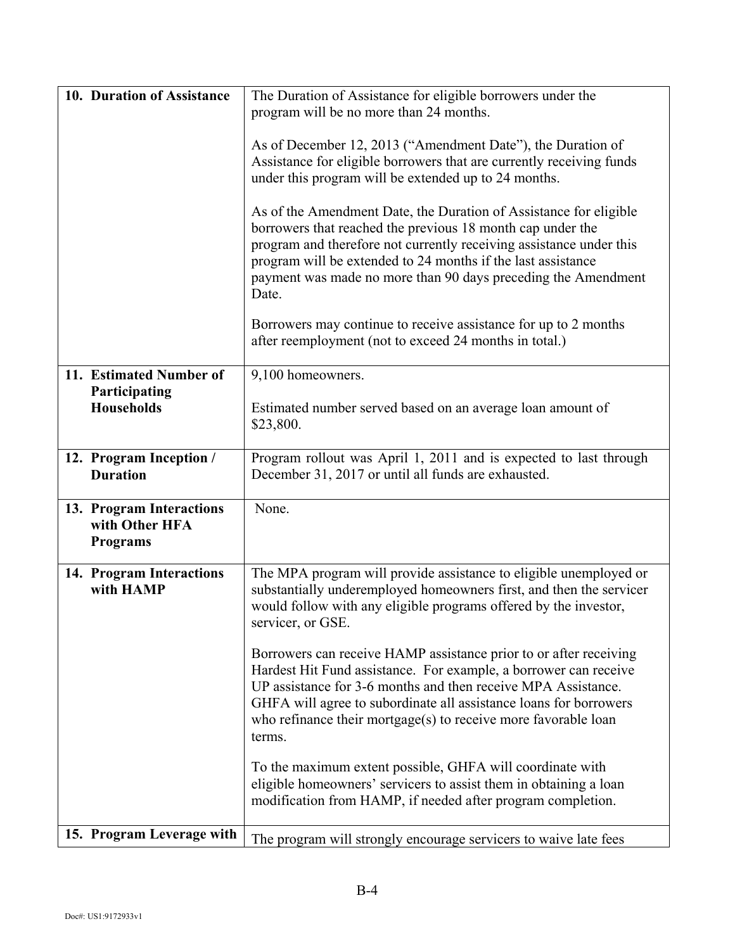| 10. Duration of Assistance                                    | The Duration of Assistance for eligible borrowers under the                                                                                                                                                                                                                                                                                                                                                                                                           |
|---------------------------------------------------------------|-----------------------------------------------------------------------------------------------------------------------------------------------------------------------------------------------------------------------------------------------------------------------------------------------------------------------------------------------------------------------------------------------------------------------------------------------------------------------|
|                                                               | program will be no more than 24 months.                                                                                                                                                                                                                                                                                                                                                                                                                               |
|                                                               | As of December 12, 2013 ("Amendment Date"), the Duration of<br>Assistance for eligible borrowers that are currently receiving funds<br>under this program will be extended up to 24 months.<br>As of the Amendment Date, the Duration of Assistance for eligible<br>borrowers that reached the previous 18 month cap under the<br>program and therefore not currently receiving assistance under this<br>program will be extended to 24 months if the last assistance |
|                                                               | payment was made no more than 90 days preceding the Amendment<br>Date.                                                                                                                                                                                                                                                                                                                                                                                                |
|                                                               | Borrowers may continue to receive assistance for up to 2 months<br>after reemployment (not to exceed 24 months in total.)                                                                                                                                                                                                                                                                                                                                             |
| 11. Estimated Number of                                       | 9,100 homeowners.                                                                                                                                                                                                                                                                                                                                                                                                                                                     |
| Participating<br><b>Households</b>                            | Estimated number served based on an average loan amount of<br>\$23,800.                                                                                                                                                                                                                                                                                                                                                                                               |
| 12. Program Inception /                                       | Program rollout was April 1, 2011 and is expected to last through                                                                                                                                                                                                                                                                                                                                                                                                     |
| <b>Duration</b>                                               | December 31, 2017 or until all funds are exhausted.                                                                                                                                                                                                                                                                                                                                                                                                                   |
| 13. Program Interactions<br>with Other HFA<br><b>Programs</b> | None.                                                                                                                                                                                                                                                                                                                                                                                                                                                                 |
| 14. Program Interactions<br>with HAMP                         | The MPA program will provide assistance to eligible unemployed or<br>substantially underemployed homeowners first, and then the servicer<br>would follow with any eligible programs offered by the investor,<br>servicer, or GSE.                                                                                                                                                                                                                                     |
|                                                               | Borrowers can receive HAMP assistance prior to or after receiving<br>Hardest Hit Fund assistance. For example, a borrower can receive<br>UP assistance for 3-6 months and then receive MPA Assistance.<br>GHFA will agree to subordinate all assistance loans for borrowers<br>who refinance their mortgage $(s)$ to receive more favorable loan<br>terms.                                                                                                            |
|                                                               | To the maximum extent possible, GHFA will coordinate with<br>eligible homeowners' servicers to assist them in obtaining a loan<br>modification from HAMP, if needed after program completion.                                                                                                                                                                                                                                                                         |
| 15. Program Leverage with                                     | The program will strongly encourage servicers to waive late fees                                                                                                                                                                                                                                                                                                                                                                                                      |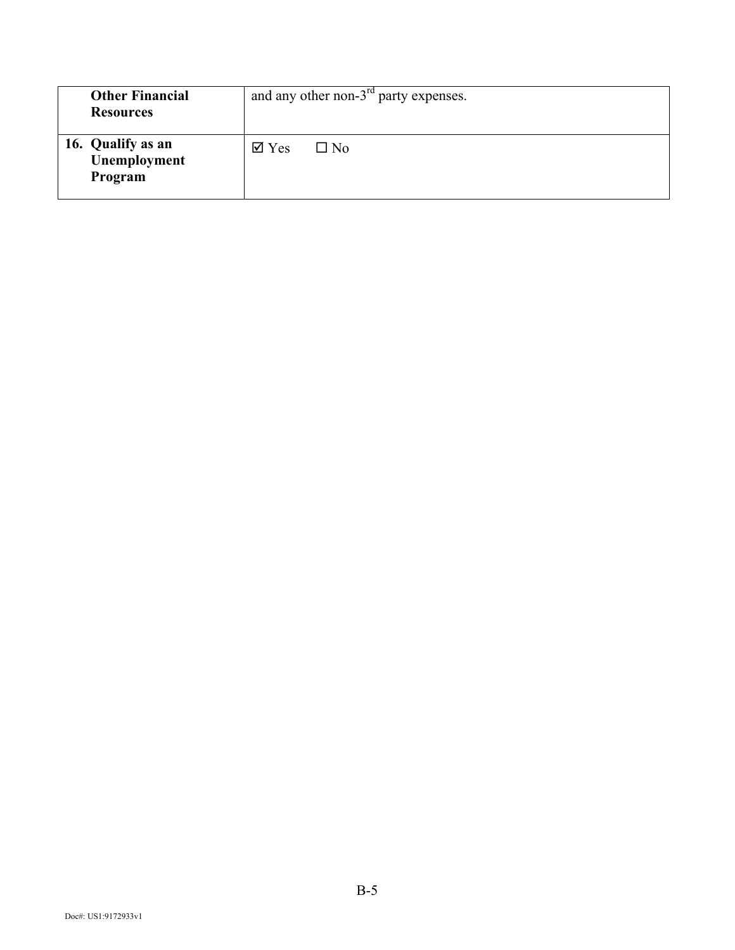| <b>Other Financial</b><br><b>Resources</b>   | and any other non- $3rd$ party expenses.    |
|----------------------------------------------|---------------------------------------------|
| 16. Qualify as an<br>Unemployment<br>Program | $\overline{\mathsf{M}}$ Yes<br>$\square$ No |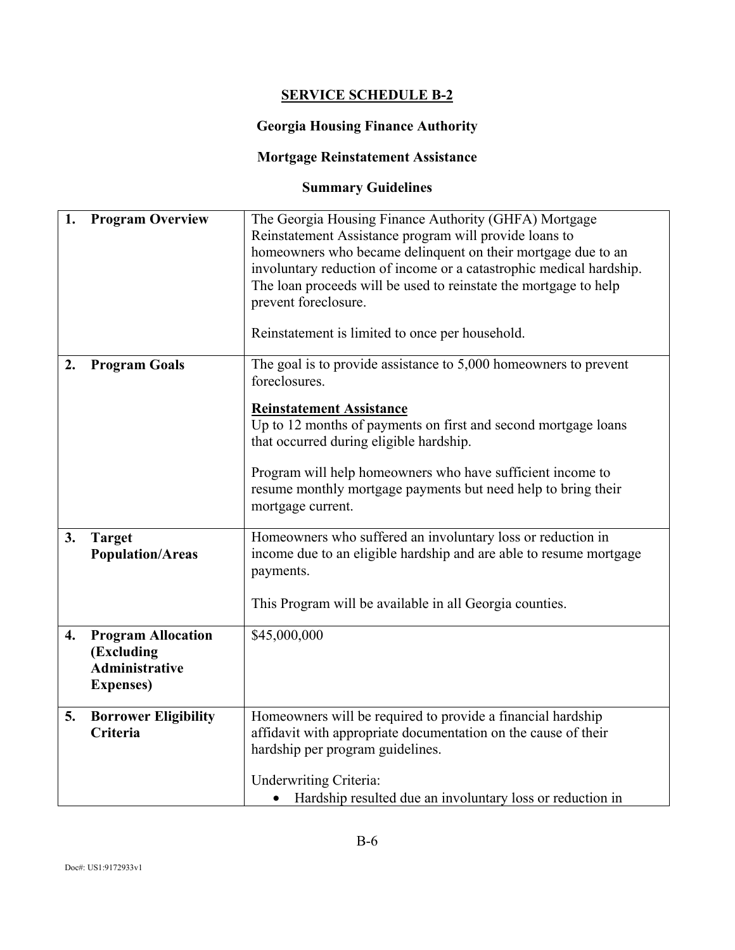# **SERVICE SCHEDULE B-2**

# **Georgia Housing Finance Authority**

# **Mortgage Reinstatement Assistance**

# **Summary Guidelines**

| 1.               | <b>Program Overview</b>                                                               | The Georgia Housing Finance Authority (GHFA) Mortgage<br>Reinstatement Assistance program will provide loans to<br>homeowners who became delinquent on their mortgage due to an<br>involuntary reduction of income or a catastrophic medical hardship.<br>The loan proceeds will be used to reinstate the mortgage to help<br>prevent foreclosure.<br>Reinstatement is limited to once per household. |
|------------------|---------------------------------------------------------------------------------------|-------------------------------------------------------------------------------------------------------------------------------------------------------------------------------------------------------------------------------------------------------------------------------------------------------------------------------------------------------------------------------------------------------|
| 2.               | <b>Program Goals</b>                                                                  | The goal is to provide assistance to $5,000$ homeowners to prevent<br>foreclosures.<br><b>Reinstatement Assistance</b><br>Up to 12 months of payments on first and second mortgage loans<br>that occurred during eligible hardship.<br>Program will help homeowners who have sufficient income to<br>resume monthly mortgage payments but need help to bring their<br>mortgage current.               |
| 3.               | <b>Target</b><br><b>Population/Areas</b>                                              | Homeowners who suffered an involuntary loss or reduction in<br>income due to an eligible hardship and are able to resume mortgage<br>payments.<br>This Program will be available in all Georgia counties.                                                                                                                                                                                             |
| $\overline{4}$ . | <b>Program Allocation</b><br>(Excluding<br><b>Administrative</b><br><b>Expenses</b> ) | \$45,000,000                                                                                                                                                                                                                                                                                                                                                                                          |
| 5.               | <b>Borrower Eligibility</b><br><b>Criteria</b>                                        | Homeowners will be required to provide a financial hardship<br>affidavit with appropriate documentation on the cause of their<br>hardship per program guidelines.<br><b>Underwriting Criteria:</b><br>Hardship resulted due an involuntary loss or reduction in                                                                                                                                       |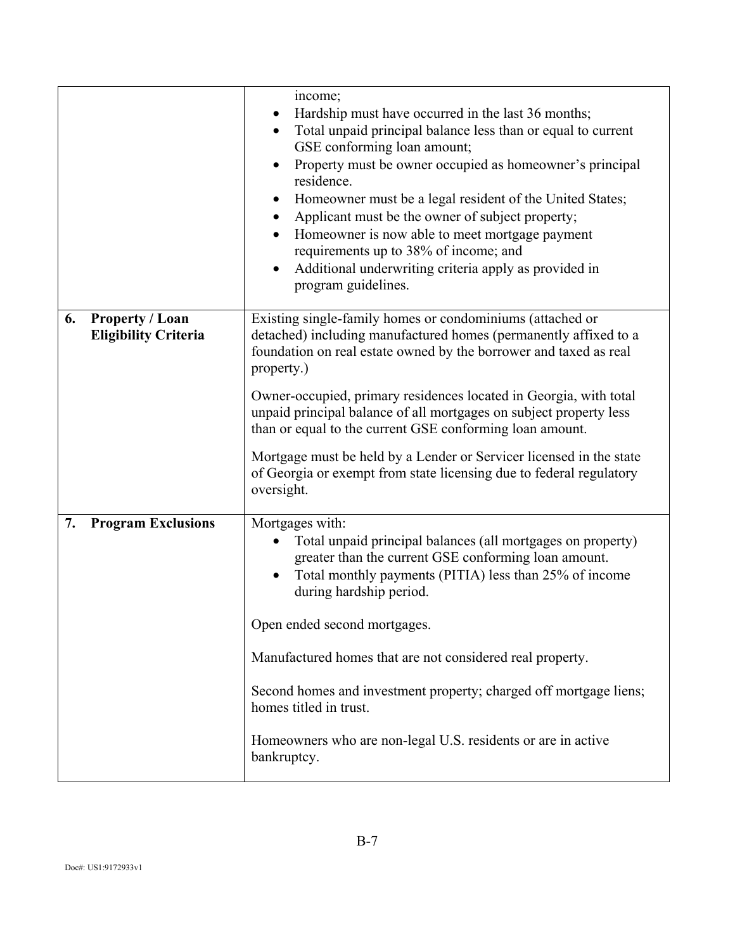|    |                                                       | income;<br>Hardship must have occurred in the last 36 months;<br>Total unpaid principal balance less than or equal to current<br>$\bullet$<br>GSE conforming loan amount;<br>Property must be owner occupied as homeowner's principal<br>residence.<br>Homeowner must be a legal resident of the United States;<br>$\bullet$<br>Applicant must be the owner of subject property;<br>$\bullet$<br>Homeowner is now able to meet mortgage payment<br>$\bullet$<br>requirements up to 38% of income; and<br>Additional underwriting criteria apply as provided in<br>$\bullet$<br>program guidelines. |
|----|-------------------------------------------------------|----------------------------------------------------------------------------------------------------------------------------------------------------------------------------------------------------------------------------------------------------------------------------------------------------------------------------------------------------------------------------------------------------------------------------------------------------------------------------------------------------------------------------------------------------------------------------------------------------|
| 6. | <b>Property / Loan</b><br><b>Eligibility Criteria</b> | Existing single-family homes or condominiums (attached or<br>detached) including manufactured homes (permanently affixed to a<br>foundation on real estate owned by the borrower and taxed as real<br>property.)<br>Owner-occupied, primary residences located in Georgia, with total<br>unpaid principal balance of all mortgages on subject property less<br>than or equal to the current GSE conforming loan amount.<br>Mortgage must be held by a Lender or Servicer licensed in the state<br>of Georgia or exempt from state licensing due to federal regulatory<br>oversight.                |
| 7. | <b>Program Exclusions</b>                             | Mortgages with:<br>Total unpaid principal balances (all mortgages on property)<br>greater than the current GSE conforming loan amount.<br>Total monthly payments (PITIA) less than 25% of income<br>during hardship period.<br>Open ended second mortgages.<br>Manufactured homes that are not considered real property.<br>Second homes and investment property; charged off mortgage liens;<br>homes titled in trust.<br>Homeowners who are non-legal U.S. residents or are in active<br>bankruptcy.                                                                                             |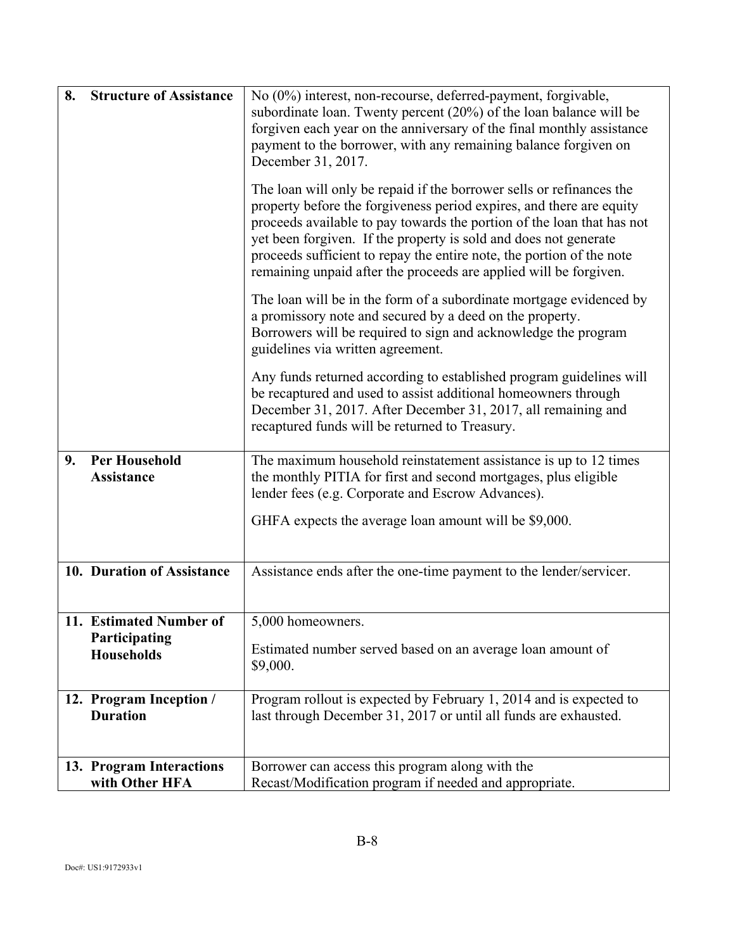| 8. | <b>Structure of Assistance</b>                                | No (0%) interest, non-recourse, deferred-payment, forgivable,<br>subordinate loan. Twenty percent (20%) of the loan balance will be<br>forgiven each year on the anniversary of the final monthly assistance<br>payment to the borrower, with any remaining balance forgiven on<br>December 31, 2017.                                                                                                                                    |
|----|---------------------------------------------------------------|------------------------------------------------------------------------------------------------------------------------------------------------------------------------------------------------------------------------------------------------------------------------------------------------------------------------------------------------------------------------------------------------------------------------------------------|
|    |                                                               | The loan will only be repaid if the borrower sells or refinances the<br>property before the forgiveness period expires, and there are equity<br>proceeds available to pay towards the portion of the loan that has not<br>yet been forgiven. If the property is sold and does not generate<br>proceeds sufficient to repay the entire note, the portion of the note<br>remaining unpaid after the proceeds are applied will be forgiven. |
|    |                                                               | The loan will be in the form of a subordinate mortgage evidenced by<br>a promissory note and secured by a deed on the property.<br>Borrowers will be required to sign and acknowledge the program<br>guidelines via written agreement.                                                                                                                                                                                                   |
|    |                                                               | Any funds returned according to established program guidelines will<br>be recaptured and used to assist additional homeowners through<br>December 31, 2017. After December 31, 2017, all remaining and<br>recaptured funds will be returned to Treasury.                                                                                                                                                                                 |
| 9. | <b>Per Household</b><br><b>Assistance</b>                     | The maximum household reinstatement assistance is up to 12 times<br>the monthly PITIA for first and second mortgages, plus eligible<br>lender fees (e.g. Corporate and Escrow Advances).                                                                                                                                                                                                                                                 |
|    |                                                               | GHFA expects the average loan amount will be \$9,000.                                                                                                                                                                                                                                                                                                                                                                                    |
|    | 10. Duration of Assistance                                    | Assistance ends after the one-time payment to the lender/servicer.                                                                                                                                                                                                                                                                                                                                                                       |
|    | 11. Estimated Number of<br>Participating<br><b>Households</b> | 5,000 homeowners.<br>Estimated number served based on an average loan amount of<br>\$9,000.                                                                                                                                                                                                                                                                                                                                              |
|    | 12. Program Inception /<br><b>Duration</b>                    | Program rollout is expected by February 1, 2014 and is expected to<br>last through December 31, 2017 or until all funds are exhausted.                                                                                                                                                                                                                                                                                                   |
|    | 13. Program Interactions<br>with Other HFA                    | Borrower can access this program along with the<br>Recast/Modification program if needed and appropriate.                                                                                                                                                                                                                                                                                                                                |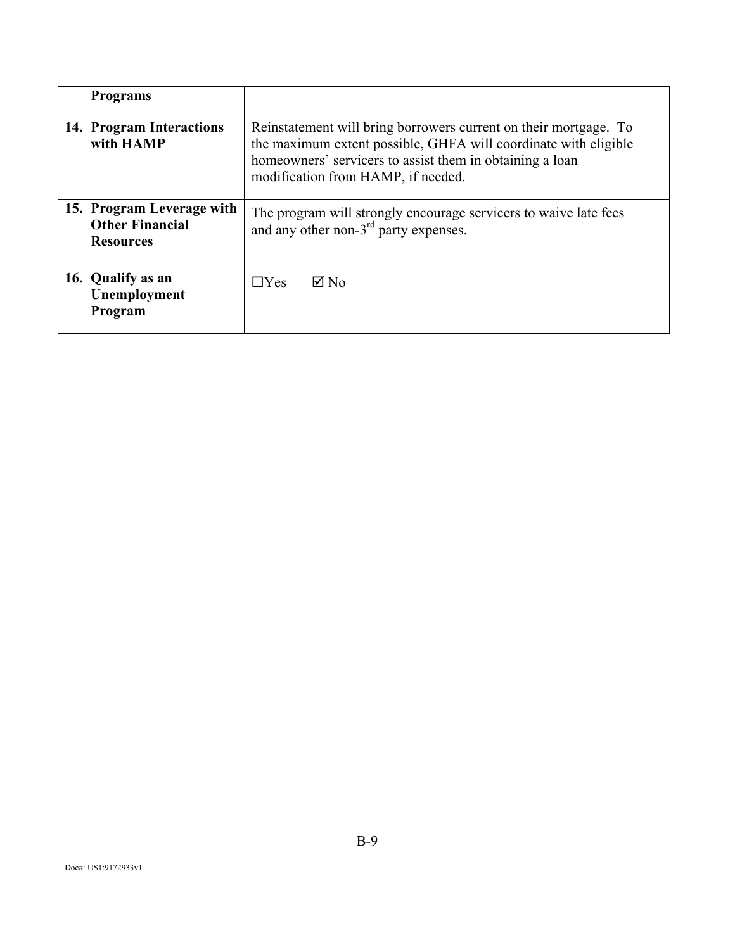| <b>Programs</b>                                                         |                                                                                                                                                                                                                                       |
|-------------------------------------------------------------------------|---------------------------------------------------------------------------------------------------------------------------------------------------------------------------------------------------------------------------------------|
| 14. Program Interactions<br>with HAMP                                   | Reinstatement will bring borrowers current on their mortgage. To<br>the maximum extent possible, GHFA will coordinate with eligible<br>homeowners' servicers to assist them in obtaining a loan<br>modification from HAMP, if needed. |
| 15. Program Leverage with<br><b>Other Financial</b><br><b>Resources</b> | The program will strongly encourage servicers to waive late fees<br>and any other non- $3rd$ party expenses.                                                                                                                          |
| 16. Qualify as an<br>Unemployment<br>Program                            | $\boxtimes$ No<br>$\Box$ Yes                                                                                                                                                                                                          |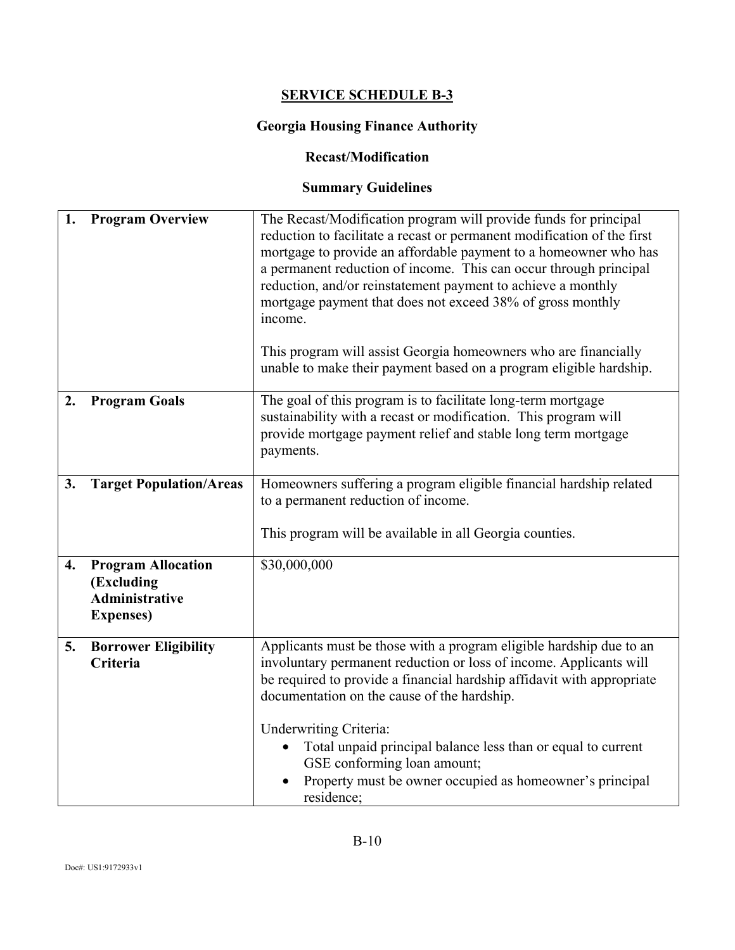# **SERVICE SCHEDULE B-3**

# **Georgia Housing Finance Authority**

#### **Recast/Modification**

# **Summary Guidelines**

| 1.               | <b>Program Overview</b>                                                               | The Recast/Modification program will provide funds for principal<br>reduction to facilitate a recast or permanent modification of the first<br>mortgage to provide an affordable payment to a homeowner who has<br>a permanent reduction of income. This can occur through principal<br>reduction, and/or reinstatement payment to achieve a monthly<br>mortgage payment that does not exceed 38% of gross monthly<br>income.<br>This program will assist Georgia homeowners who are financially<br>unable to make their payment based on a program eligible hardship. |
|------------------|---------------------------------------------------------------------------------------|------------------------------------------------------------------------------------------------------------------------------------------------------------------------------------------------------------------------------------------------------------------------------------------------------------------------------------------------------------------------------------------------------------------------------------------------------------------------------------------------------------------------------------------------------------------------|
| 2.               | <b>Program Goals</b>                                                                  | The goal of this program is to facilitate long-term mortgage<br>sustainability with a recast or modification. This program will<br>provide mortgage payment relief and stable long term mortgage<br>payments.                                                                                                                                                                                                                                                                                                                                                          |
| 3.               | <b>Target Population/Areas</b>                                                        | Homeowners suffering a program eligible financial hardship related<br>to a permanent reduction of income.<br>This program will be available in all Georgia counties.                                                                                                                                                                                                                                                                                                                                                                                                   |
| $\overline{4}$ . | <b>Program Allocation</b><br>(Excluding<br><b>Administrative</b><br><b>Expenses</b> ) | \$30,000,000                                                                                                                                                                                                                                                                                                                                                                                                                                                                                                                                                           |
| 5.               | <b>Borrower Eligibility</b><br>Criteria                                               | Applicants must be those with a program eligible hardship due to an<br>involuntary permanent reduction or loss of income. Applicants will<br>be required to provide a financial hardship affidavit with appropriate<br>documentation on the cause of the hardship.                                                                                                                                                                                                                                                                                                     |
|                  |                                                                                       | <b>Underwriting Criteria:</b><br>Total unpaid principal balance less than or equal to current<br>GSE conforming loan amount;<br>Property must be owner occupied as homeowner's principal<br>residence;                                                                                                                                                                                                                                                                                                                                                                 |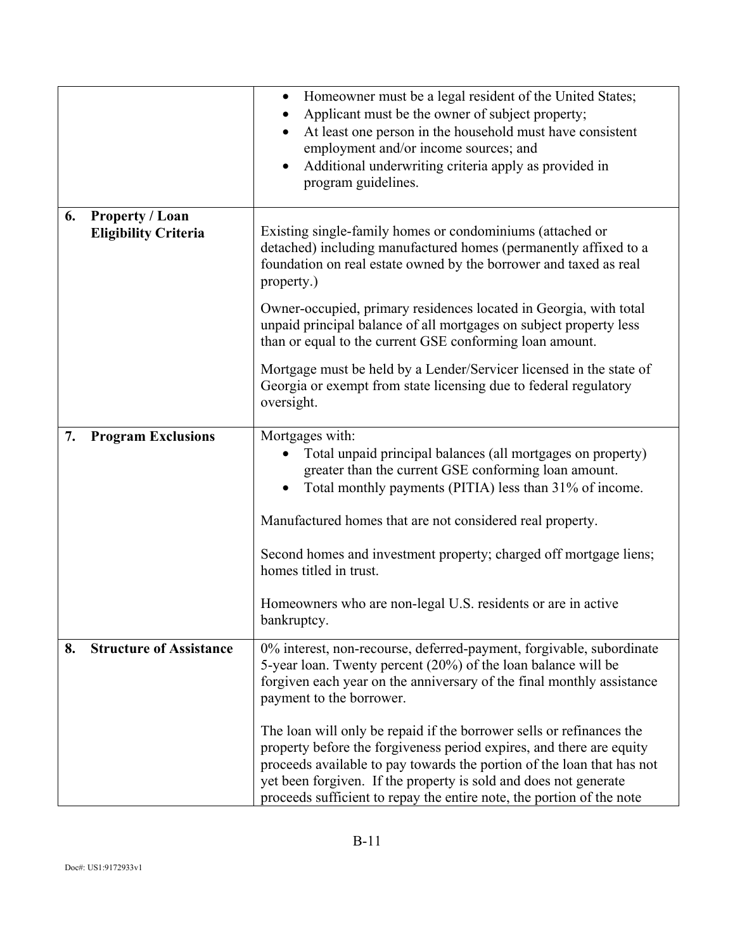|    |                                                       | Homeowner must be a legal resident of the United States;<br>$\bullet$<br>Applicant must be the owner of subject property;<br>At least one person in the household must have consistent<br>$\bullet$<br>employment and/or income sources; and<br>Additional underwriting criteria apply as provided in<br>$\bullet$<br>program guidelines.                           |  |
|----|-------------------------------------------------------|---------------------------------------------------------------------------------------------------------------------------------------------------------------------------------------------------------------------------------------------------------------------------------------------------------------------------------------------------------------------|--|
| 6. | <b>Property / Loan</b><br><b>Eligibility Criteria</b> | Existing single-family homes or condominiums (attached or<br>detached) including manufactured homes (permanently affixed to a<br>foundation on real estate owned by the borrower and taxed as real<br>property.)                                                                                                                                                    |  |
|    |                                                       | Owner-occupied, primary residences located in Georgia, with total<br>unpaid principal balance of all mortgages on subject property less<br>than or equal to the current GSE conforming loan amount.                                                                                                                                                                 |  |
|    |                                                       | Mortgage must be held by a Lender/Servicer licensed in the state of<br>Georgia or exempt from state licensing due to federal regulatory<br>oversight.                                                                                                                                                                                                               |  |
| 7. | <b>Program Exclusions</b>                             | Mortgages with:<br>Total unpaid principal balances (all mortgages on property)<br>greater than the current GSE conforming loan amount.<br>Total monthly payments (PITIA) less than 31% of income.                                                                                                                                                                   |  |
|    |                                                       | Manufactured homes that are not considered real property.                                                                                                                                                                                                                                                                                                           |  |
|    |                                                       | Second homes and investment property; charged off mortgage liens;<br>homes titled in trust.                                                                                                                                                                                                                                                                         |  |
|    |                                                       | Homeowners who are non-legal U.S. residents or are in active<br>bankruptcy.                                                                                                                                                                                                                                                                                         |  |
| 8. | <b>Structure of Assistance</b>                        | 0% interest, non-recourse, deferred-payment, forgivable, subordinate<br>5-year loan. Twenty percent (20%) of the loan balance will be<br>forgiven each year on the anniversary of the final monthly assistance<br>payment to the borrower.                                                                                                                          |  |
|    |                                                       | The loan will only be repaid if the borrower sells or refinances the<br>property before the forgiveness period expires, and there are equity<br>proceeds available to pay towards the portion of the loan that has not<br>yet been forgiven. If the property is sold and does not generate<br>proceeds sufficient to repay the entire note, the portion of the note |  |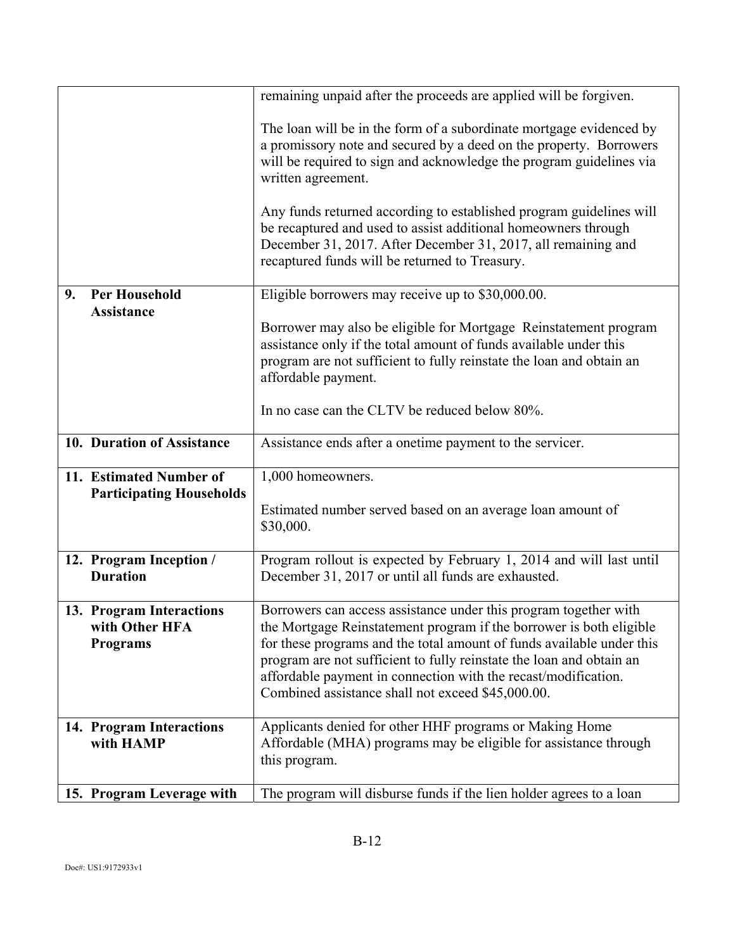|                                                               | remaining unpaid after the proceeds are applied will be forgiven.                                                                                                                                                                                                                                                                                                                                               |  |
|---------------------------------------------------------------|-----------------------------------------------------------------------------------------------------------------------------------------------------------------------------------------------------------------------------------------------------------------------------------------------------------------------------------------------------------------------------------------------------------------|--|
|                                                               | The loan will be in the form of a subordinate mortgage evidenced by<br>a promissory note and secured by a deed on the property. Borrowers<br>will be required to sign and acknowledge the program guidelines via<br>written agreement.                                                                                                                                                                          |  |
|                                                               | Any funds returned according to established program guidelines will<br>be recaptured and used to assist additional homeowners through<br>December 31, 2017. After December 31, 2017, all remaining and<br>recaptured funds will be returned to Treasury.                                                                                                                                                        |  |
| <b>Per Household</b><br>9.<br><b>Assistance</b>               | Eligible borrowers may receive up to \$30,000.00.                                                                                                                                                                                                                                                                                                                                                               |  |
|                                                               | Borrower may also be eligible for Mortgage Reinstatement program<br>assistance only if the total amount of funds available under this<br>program are not sufficient to fully reinstate the loan and obtain an<br>affordable payment.                                                                                                                                                                            |  |
|                                                               | In no case can the CLTV be reduced below 80%.                                                                                                                                                                                                                                                                                                                                                                   |  |
| 10. Duration of Assistance                                    | Assistance ends after a onetime payment to the servicer.                                                                                                                                                                                                                                                                                                                                                        |  |
| 11. Estimated Number of<br><b>Participating Households</b>    | 1,000 homeowners.                                                                                                                                                                                                                                                                                                                                                                                               |  |
|                                                               | Estimated number served based on an average loan amount of<br>\$30,000.                                                                                                                                                                                                                                                                                                                                         |  |
| 12. Program Inception /<br><b>Duration</b>                    | Program rollout is expected by February 1, 2014 and will last until<br>December 31, 2017 or until all funds are exhausted.                                                                                                                                                                                                                                                                                      |  |
| 13. Program Interactions<br>with Other HFA<br><b>Programs</b> | Borrowers can access assistance under this program together with<br>the Mortgage Reinstatement program if the borrower is both eligible<br>for these programs and the total amount of funds available under this<br>program are not sufficient to fully reinstate the loan and obtain an<br>affordable payment in connection with the recast/modification.<br>Combined assistance shall not exceed \$45,000.00. |  |
| 14. Program Interactions<br>with HAMP                         | Applicants denied for other HHF programs or Making Home<br>Affordable (MHA) programs may be eligible for assistance through<br>this program.                                                                                                                                                                                                                                                                    |  |
| 15. Program Leverage with                                     | The program will disburse funds if the lien holder agrees to a loan                                                                                                                                                                                                                                                                                                                                             |  |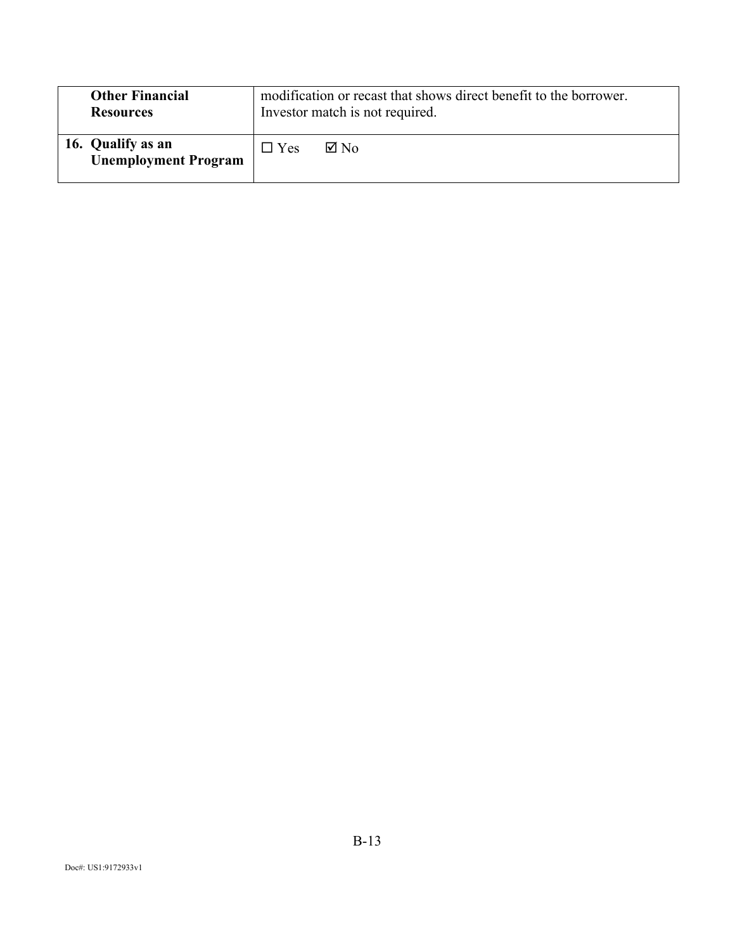| <b>Other Financial</b><br><b>Resources</b>       | modification or recast that shows direct benefit to the borrower.<br>Investor match is not required. |                |
|--------------------------------------------------|------------------------------------------------------------------------------------------------------|----------------|
| 16. Qualify as an<br><b>Unemployment Program</b> | $\Box$ Yes                                                                                           | $\boxtimes$ No |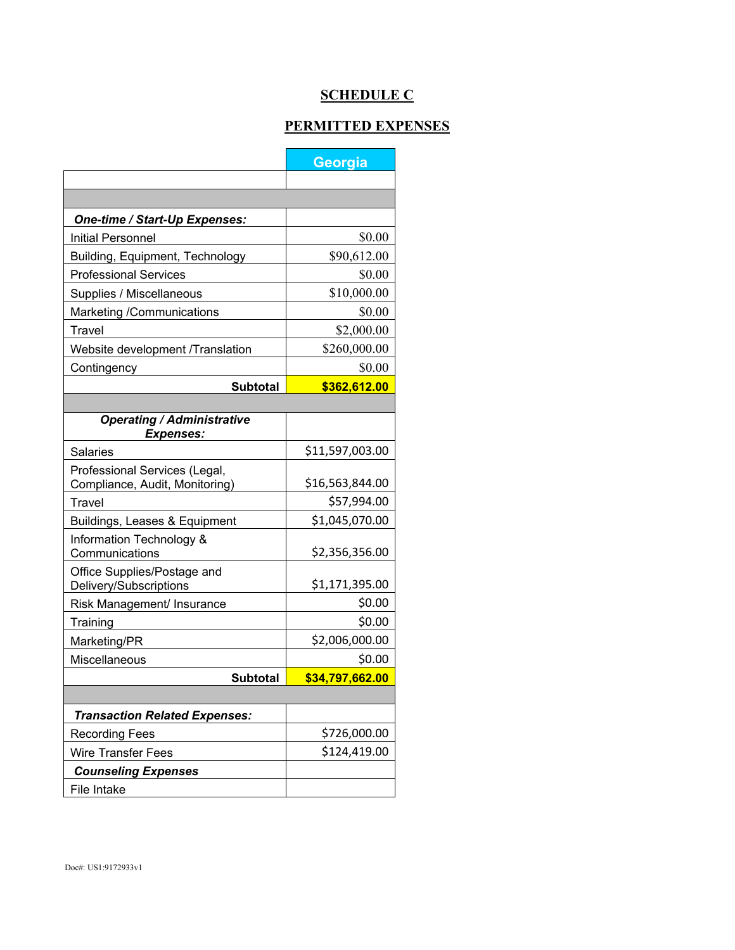# **SCHEDULE C**

#### **PERMITTED EXPENSES**

|                                                                 | Georgia         |  |  |  |  |  |
|-----------------------------------------------------------------|-----------------|--|--|--|--|--|
|                                                                 |                 |  |  |  |  |  |
|                                                                 |                 |  |  |  |  |  |
| One-time / Start-Up Expenses:                                   |                 |  |  |  |  |  |
| <b>Initial Personnel</b>                                        | \$0.00          |  |  |  |  |  |
| Building, Equipment, Technology                                 | \$90,612.00     |  |  |  |  |  |
| <b>Professional Services</b>                                    | \$0.00          |  |  |  |  |  |
| Supplies / Miscellaneous                                        | \$10,000.00     |  |  |  |  |  |
| Marketing /Communications                                       | \$0.00          |  |  |  |  |  |
| Travel                                                          | \$2,000.00      |  |  |  |  |  |
| Website development /Translation                                | \$260,000.00    |  |  |  |  |  |
| Contingency                                                     | \$0.00          |  |  |  |  |  |
| <b>Subtotal</b>                                                 | \$362,612.00    |  |  |  |  |  |
|                                                                 |                 |  |  |  |  |  |
| <b>Operating / Administrative</b><br><b>Expenses:</b>           |                 |  |  |  |  |  |
| Salaries                                                        | \$11,597,003.00 |  |  |  |  |  |
| Professional Services (Legal,<br>Compliance, Audit, Monitoring) | \$16,563,844.00 |  |  |  |  |  |
| <b>Travel</b>                                                   | \$57,994.00     |  |  |  |  |  |
| Buildings, Leases & Equipment                                   | \$1,045,070.00  |  |  |  |  |  |
| Information Technology &<br>Communications                      | \$2,356,356.00  |  |  |  |  |  |
| Office Supplies/Postage and<br>Delivery/Subscriptions           | \$1,171,395.00  |  |  |  |  |  |
| Risk Management/ Insurance                                      | \$0.00          |  |  |  |  |  |
| Training                                                        | \$0.00          |  |  |  |  |  |
| Marketing/PR                                                    | \$2,006,000.00  |  |  |  |  |  |
| Miscellaneous                                                   | \$0.00          |  |  |  |  |  |
| <b>Subtotal</b>                                                 | \$34,797,662.00 |  |  |  |  |  |
|                                                                 |                 |  |  |  |  |  |
| <b>Transaction Related Expenses:</b>                            |                 |  |  |  |  |  |
| <b>Recording Fees</b>                                           | \$726,000.00    |  |  |  |  |  |
| <b>Wire Transfer Fees</b>                                       | \$124,419.00    |  |  |  |  |  |
| <b>Counseling Expenses</b>                                      |                 |  |  |  |  |  |
| File Intake                                                     |                 |  |  |  |  |  |